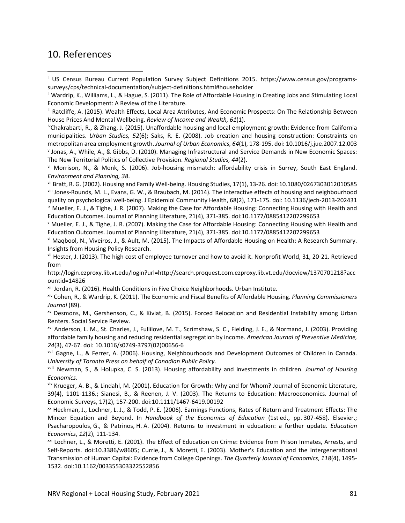## 10. References

ivChakrabarti, R., & Zhang, J. (2015). Unaffordable housing and local employment growth: Evidence from California municipalities. *Urban Studies, 52*(6); Saks, R. E. (2008). Job creation and housing construction: Constraints on metropolitan area employment growth. *Journal of Urban Economics, 64*(1), 178‐195. doi: 10.1016/j.jue.2007.12.003 <sup>v</sup> Jonas, A., While, A., & Gibbs, D. (2010). Managing Infrastructural and Service Demands in New Economic Spaces: The New Territorial Politics of Collective Provision. *Regional Studies, 44*(2).

vi Morrison, N., & Monk, S. (2006). Job-housing mismatch: affordability crisis in Surrey, South East England. *Environment and Planning, 38*.

vii Bratt, R. G. (2002). Housing and Family Well‐being. Housing Studies, 17(1), 13‐26. doi: 10.1080/0267303012010585 viii Jones-Rounds, M. L., Evans, G. W., & Braubach, M. (2014). The interactive effects of housing and neighbourhood quality on psychological well‐being. J Epidemiol Community Health, 68(2), 171‐175. doi: 10.1136/jech‐2013‐202431  $\frac{1}{2}$  Mueller, E. J., & Tighe, J. R. (2007). Making the Case for Affordable Housing: Connecting Housing with Health and Education Outcomes. Journal of Planning Literature, 21(4), 371‐385. doi:10.1177/0885412207299653

<sup>x</sup> Mueller, E. J., & Tighe, J. R. (2007). Making the Case for Affordable Housing: Connecting Housing with Health and Education Outcomes. Journal of Planning Literature, 21(4), 371‐385. doi:10.1177/0885412207299653

xi Maqbool, N., Viveiros, J., & Ault, M. (2015). The Impacts of Affordable Housing on Health: A Research Summary. Insights from Housing Policy Research.

xii Hester, J. (2013). The high cost of employee turnover and how to avoid it. Nonprofit World, 31, 20‐21. Retrieved from

http://login.ezproxy.lib.vt.edu/login?url=http://search.proquest.com.ezproxy.lib.vt.edu/docview/1370701218?acc ountid=14826

xiii Jordan, R. (2016). Health Conditions in Five Choice Neighborhoods. Urban Institute.

xiv Cohen, R., & Wardrip, K. (2011). The Economic and Fiscal Benefits of Affordable Housing. *Planning Commissioners Journal* (89).

xv Desmons, M., Gershenson, C., & Kiviat, B. (2015). Forced Relocation and Residential Instability among Urban Renters. Social Service Review.

xvi Anderson, L. M., St. Charles, J., Fullilove, M. T., Scrimshaw, S. C., Fielding, J. E., & Normand, J. (2003). Providing affordable family housing and reducing residential segregation by income. *American Journal of Preventive Medicine, 24*(3), 47‐67. doi: 10.1016/s0749‐3797(02)00656‐6

xvii Gagne, L., & Ferrer, A. (2006). Housing, Neighbourhoods and Development Outcomes of Children in Canada. *University of Toronto Press on behalf of Canadian Public Policy*.

xviii Newman, S., & Holupka, C. S. (2013). Housing affordability and investments in children. *Journal of Housing Economics*.

xix Krueger, A. B., & Lindahl, M. (2001). Education for Growth: Why and for Whom? Journal of Economic Literature, 39(4), 1101‐1136.; Sianesi, B., & Reenen, J. V. (2003). The Returns to Education: Macroeconomics. Journal of Economic Surveys, 17(2), 157‐200. doi:10.1111/1467‐6419.00192

xx Heckman, J., Lochner, L. J., & Todd, P. E. (2006). Earnings Functions, Rates of Return and Treatment Effects: The Mincer Equation and Beyond. In *Handbook of the Economics of Education* (1st ed., pp. 307‐458). Elsevier.; Psacharopoulos, G., & Patrinos, H. A. (2004). Returns to investment in education: a further update. *Education Economics*, *12*(2), 111‐134.

xxi Lochner, L., & Moretti, E. (2001). The Effect of Education on Crime: Evidence from Prison Inmates, Arrests, and Self‐Reports. doi:10.3386/w8605; Currie, J., & Moretti, E. (2003). Mother's Education and the Intergenerational Transmission of Human Capital: Evidence from College Openings. *The Quarterly Journal of Economics*, *118*(4), 1495‐ 1532. doi:10.1162/003355303322552856

<sup>i</sup> US Census Bureau Current Population Survey Subject Definitions 2015. https://www.census.gov/programs‐ surveys/cps/technical‐documentation/subject‐definitions.html#householder

ii Wardrip, K., Williams, L., & Hague, S. (2011). The Role of Affordable Housing in Creating Jobs and Stimulating Local Economic Development: A Review of the Literature.

iii Ratcliffe, A. (2015). Wealth Effects, Local Area Attributes, And Economic Prospects: On The Relationship Between House Prices And Mental Wellbeing. *Review of Income and Wealth, 61*(1).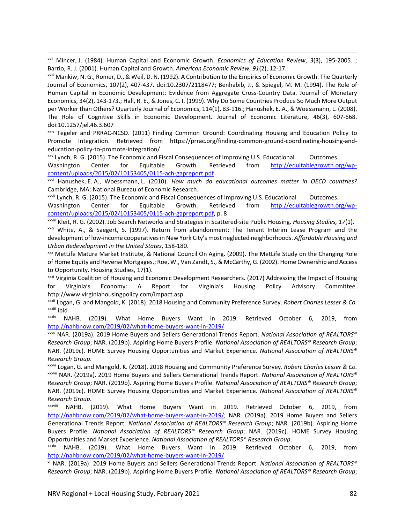<u> Andrewski politika (za obrazu pod predsjednika u predsjednika u predsjednika u predsjednika (za obrazu pod p</u> xxii Mincer, J. (1984). Human Capital and Economic Growth. *Economics of Education Review*, *3*(3), 195‐2005. ; Barrio, R. J. (2001). Human Capital and Growth. *American Economic Review*, *91*(2), 12‐17.

xxiii Mankiw, N. G., Romer, D., & Weil, D. N. (1992). A Contribution to the Empirics of Economic Growth. The Quarterly Journal of Economics, 107(2), 407‐437. doi:10.2307/2118477; Benhabib, J., & Spiegel, M. M. (1994). The Role of Human Capital in Economic Development: Evidence from Aggregate Cross-Country Data. Journal of Monetary Economics, 34(2), 143‐173.; Hall, R. E., & Jones, C. I. (1999). Why Do Some Countries Produce So Much More Output per Worker than Others? Quarterly Journal of Economics, 114(1), 83-116.; Hanushek, E. A., & Woessmann, L. (2008). The Role of Cognitive Skills in Economic Development. Journal of Economic Literature, 46(3), 607‐668. doi:10.1257/jel.46.3.607

xxiv Tegeler and PRRAC‐NCSD. (2011) Finding Common Ground: Coordinating Housing and Education Policy to Promote Integration. Retrieved from https://prrac.org/finding‐common‐ground‐coordinating‐housing‐and‐ education‐policy‐to‐promote‐integration/

xxv Lynch, R. G. (2015). The Economic and Fiscal Consequences of Improving U.S. Educational Outcomes.

Washington Center for Equitable Growth. Retrieved from http://equitablegrowth.org/wpcontent/uploads/2015/02/10153405/0115‐ach‐gapreport.pdf

xxvi Hanushek, E. A., Woessmann, L. (2010). *How much do educational outcomes matter in OECD countries?* Cambridge, MA: National Bureau of Economic Research.

 $x$ <sup>xxvii</sup> Lynch, R. G. (2015). The Economic and Fiscal Consequences of Improving U.S. Educational Outcomes.

Washington Center for Equitable Growth. Retrieved from http://equitablegrowth.org/wpcontent/uploads/2015/02/10153405/0115‐ach‐gapreport.pdf, p. 8

xxviii Kleit, R. G. (2002). Job Search Networks and Strategies in Scattered‐site Public Housing. *Housing Studies, 17*(1).

 $x$ ix White, A., & Saegert, S. (1997). Return from abandonment: The Tenant Interim Lease Program and the development of low‐income cooperativesin New York City's most neglected neighborhoods. *Affordable Housing and Urban Redevelopment in the United States*, 158‐180.

xxx MetLife Mature Market Institute, & National Council On Aging. (2009). The MetLife Study on the Changing Role of Home Equity and Reverse Mortgages.; Roe, W., Van Zandt, S., & McCarthy, G. (2002). Home Ownership and Access to Opportunity. Housing Studies, 17(1).

xxxi Virginia Coalition of Housing and Economic Development Researchers. (2017) Addressing the Impact of Housing for Virginia's Economy: A Report for Virginia's Housing Policy Advisory Committee. http://www.virginiahousingpolicy.com/impact.asp

xxxii Logan, G. and Mangold, K. (2018). 2018 Housing and Community Preference Survey. *Robert Charles Lesser & Co.* xxxiii ibid

xxxiv NAHB. (2019). What Home Buyers Want in 2019. Retrieved October 6, 2019, from http://nahbnow.com/2019/02/what-home-buyers-want-in-2019/

xxxv NAR. (2019a). 2019 Home Buyers and Sellers Generational Trends Report. *National Association of REALTORS® Research Group*; NAR. (2019b). Aspiring Home Buyers Profile. *National Association of REALTORS® Research Group*; NAR. (2019c). HOME Survey Housing Opportunities and Market Experience. *National Association of REALTORS® Research Group*.

xxxvi Logan, G. and Mangold, K. (2018). 2018 Housing and Community Preference Survey. *Robert Charles Lesser & Co.* xxxvii NAR. (2019a). 2019 Home Buyers and Sellers Generational Trends Report. *National Association of REALTORS® Research Group*; NAR. (2019b). Aspiring Home Buyers Profile. *National Association of REALTORS® Research Group*; NAR. (2019c). HOME Survey Housing Opportunities and Market Experience. *National Association of REALTORS® Research Group*.

xxxviii NAHB. (2019). What Home Buyers Want in 2019. Retrieved October 6, 2019, from http://nahbnow.com/2019/02/what-home-buyers-want-in-2019/; NAR. (2019a). 2019 Home Buyers and Sellers Generational Trends Report. *National Association of REALTORS® Research Group*; NAR. (2019b). Aspiring Home Buyers Profile. *National Association of REALTORS® Research Group*; NAR. (2019c). HOME Survey Housing Opportunities and Market Experience. *National Association of REALTORS® Research Group*.

xxxix NAHB. (2019). What Home Buyers Want in 2019. Retrieved October 6, 2019, from http://nahbnow.com/2019/02/what‐home‐buyers‐want‐in‐2019/

xl NAR. (2019a). 2019 Home Buyers and Sellers Generational Trends Report. *National Association of REALTORS® Research Group*; NAR. (2019b). Aspiring Home Buyers Profile. *National Association of REALTORS® Research Group*;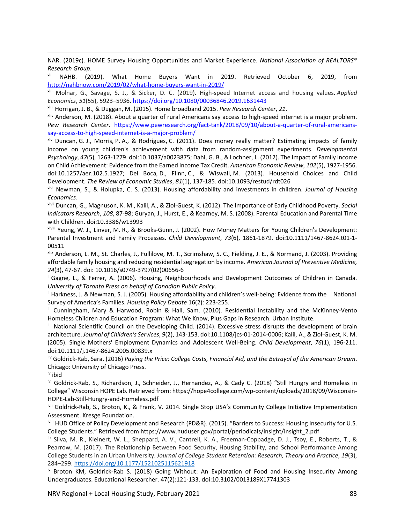<u> Andrewski politika (za obrazu pod predsjednika u predsjednika u predsjednika u predsjednika (za obrazu pod p</u> NAR. (2019c). HOME Survey Housing Opportunities and Market Experience. *National Association of REALTORS® Research Group*.

NAHB. (2019). What Home Buyers Want in 2019. Retrieved October 6, 2019, from http://nahbnow.com/2019/02/what‐home‐buyers‐want‐in‐2019/

xlii Molnar, G., Savage, S. J., & Sicker, D. C. (2019). High‐speed Internet access and housing values. *Applied Economics*, *51*(55), 5923–5936. https://doi.org/10.1080/00036846.2019.1631443

xliii Horrigan, J. B., & Duggan, M. (2015). Home broadband 2015. *Pew Research Center*, *21*.

xliv Anderson, M. (2018). About a quarter of rural Americans say access to high‐speed internet is a major problem. *Pew Research Center*. https://www.pewresearch.org/fact‐tank/2018/09/10/about‐a‐quarter‐of‐rural‐americans‐ say-access-to-high-speed-internet-is-a-major-problem/

xlv Duncan, G. J., Morris, P. A., & Rodrigues, C. (2011). Does money really matter? Estimating impacts of family income on young children's achievement with data from random‐assignment experiments. *Developmental Psychology*, *47*(5), 1263‐1279. doi:10.1037/a0023875; Dahl, G. B., & Lochner, L. (2012). The Impact of Family Income on Child Achievement: Evidence from the Earned Income Tax Credit. *American Economic Review*, *102*(5), 1927‐1956. doi:10.1257/aer.102.5.1927; Del Boca, D., Flinn, C., & Wiswall, M. (2013). Household Choices and Child Development. *The Review of Economic Studies*, *81*(1), 137‐185. doi:10.1093/restud/rdt026

xlvi Newman, S., & Holupka, C. S. (2013). Housing affordability and investments in children. *Journal of Housing Economics*.

xlvii Duncan, G., Magnuson, K. M., Kalil, A., & Ziol‐Guest, K. (2012). The Importance of Early Childhood Poverty. *Social Indicators Research*, *108*, 87‐98; Guryan, J., Hurst, E., & Kearney, M. S. (2008). Parental Education and Parental Time with Children. doi:10.3386/w13993

xlviii Yeung, W. J., Linver, M. R., & Brooks‐Gunn, J. (2002). How Money Matters for Young Children's Development: Parental Investment and Family Processes. *Child Development*, *73*(6), 1861‐1879. doi:10.1111/1467‐8624.t01‐1‐ 00511

xlix Anderson, L. M., St. Charles, J., Fullilove, M. T., Scrimshaw, S. C., Fielding, J. E., & Normand, J. (2003). Providing affordable family housing and reducing residential segregation by income. *American Journal of Preventive Medicine, 24*(3), 47‐67. doi: 10.1016/s0749‐3797(02)00656‐6

<sup>l</sup> Gagne, L., & Ferrer, A. (2006). Housing, Neighbourhoods and Development Outcomes of Children in Canada. *University of Toronto Press on behalf of Canadian Public Policy*.

li Harkness, J. & Newman, S. J. (2005). Housing affordability and children's well‐being: Evidence from the National Survey of America's Families. *Housing Policy Debate* 16(2): 223‐255.

lii Cunningham, Mary & Harwood, Robin & Hall, Sam. (2010). Residential Instability and the McKinney‐Vento Homeless Children and Education Program: What We Know, Plus Gaps in Research. Urban Institute.

liii National Scientific Council on the Developing Child. (2014). Excessive stress disrupts the development of brain architecture. *Journal of Children's Services*, *9*(2), 143‐153. doi:10.1108/jcs‐01‐2014‐0006; Kalil, A., & Ziol‐Guest, K. M. (2005). Single Mothers' Employment Dynamics and Adolescent Well‐Being. *Child Development*, *76*(1), 196‐211. doi:10.1111/j.1467‐8624.2005.00839.x

liv Goldrick‐Rab, Sara. (2016) *Paying the Price: College Costs, Financial Aid, and the Betrayal of the American Dream*. Chicago: University of Chicago Press.

lv ibid

<sup>Ivi</sup> Goldrick-Rab, S., Richardson, J., Schneider, J., Hernandez, A., & Cady C. (2018) "Still Hungry and Homeless in College" Wisconsin HOPE Lab. Retrieved from: https://hope4college.com/wp‐content/uploads/2018/09/Wisconsin‐ HOPE‐Lab‐Still‐Hungry‐and‐Homeless.pdf

lvii Goldrick‐Rab, S., Broton, K., & Frank, V. 2014. Single Stop USA's Community College Initiative Implementation Assessment. Kresge Foundation.

lviii HUD Office of Policy Development and Research (PD&R). (2015). "Barriers to Success: Housing Insecurity for U.S. College Students." Retrieved from https://www.huduser.gov/portal/periodicals/insight/insight\_2.pdf

lix Silva, M. R., Kleinert, W. L., Sheppard, A. V., Cantrell, K. A., Freeman‐Coppadge, D. J., Tsoy, E., Roberts, T., & Pearrow, M. (2017). The Relationship Between Food Security, Housing Stability, and School Performance Among College Students in an Urban University. *Journal of College Student Retention: Research, Theory and Practice*, *19*(3), 284–299. https://doi.org/10.1177/1521025115621918

**K Broton KM, Goldrick-Rab S. (2018) Going Without: An Exploration of Food and Housing Insecurity Among** Undergraduates. Educational Researcher. 47(2):121‐133. doi:10.3102/0013189X17741303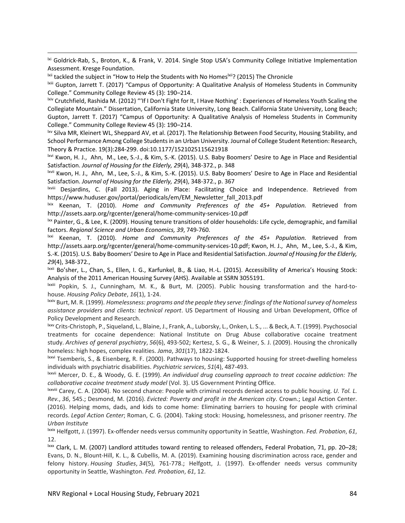<u> Andrewski politika (za obrazu pod predsjednika u predsjednika u predsjednika u predsjednika (za obrazu pod p</u> bxi Goldrick-Rab, S., Broton, K., & Frank, V. 2014. Single Stop USA's Community College Initiative Implementation Assessment. Kresge Foundation.

<sup>Ixii</sup> tackled the subject in "How to Help the Students with No Homes<sup>Ixii</sup>? (2015) The Chronicle

lxiii Gupton, Jarrett T. (2017) "Campus of Opportunity: A Qualitative Analysis of Homeless Students in Community College." Community College Review 45 (3): 190–214.

lxiv Crutchfield, Rashida M. (2012) "'If I Don't Fight for It, I Have Nothing' : Experiences of Homeless Youth Scaling the Collegiate Mountain." Dissertation, California State University, Long Beach. California State University, Long Beach; Gupton, Jarrett T. (2017) "Campus of Opportunity: A Qualitative Analysis of Homeless Students in Community College." Community College Review 45 (3): 190–214.

lxv Silva MR, Kleinert WL, Sheppard AV, et al. (2017). The Relationship Between Food Security, Housing Stability, and School Performance Among College Studentsin an Urban University. Journal of College Student Retention: Research, Theory & Practice. 19(3):284‐299. doi:10.1177/1521025115621918

lxvi Kwon, H. J., Ahn, M., Lee, S.‐J., & Kim, S.‐K. (2015). U.S. Baby Boomers' Desire to Age in Place and Residential Satisfaction. *Journal of Housing for the Elderly, 29*(4), 348‐372., p. 348

lxvii Kwon, H. J., Ahn, M., Lee, S.‐J., & Kim, S.‐K. (2015). U.S. Baby Boomers' Desire to Age in Place and Residential Satisfaction. *Journal of Housing for the Elderly, 29*(4), 348‐372., p. 367

lxviii Desjardins, C. (Fall 2013). Aging in Place: Facilitating Choice and Independence. Retrieved from https://www.huduser.gov/portal/periodicals/em/EM\_Newsletter\_fall\_2013.pdf

lxix Keenan, T. (2010). *Home and Community Preferences of the 45+ Population.* Retrieved from http://assets.aarp.org/rgcenter/general/home‐community‐services‐10.pdf

<sup>Ixx</sup> Painter, G., & Lee, K. (2009). Housing tenure transitions of older households: Life cycle, demographic, and familial factors. *Regional Science and Urban Economics, 39*, 749‐760.

lxxi Keenan, T. (2010). *Home and Community Preferences of the 45+ Population.* Retrieved from http://assets.aarp.org/rgcenter/general/home-community-services-10.pdf; Kwon, H. J., Ahn, M., Lee, S.-J., & Kim, S.‐K. (2015). U.S. Baby Boomers' Desire to Age in Place and Residential Satisfaction. *Journal of Housing for the Elderly, 29*(4), 348‐372.,

lxxii Bo'sher, L., Chan, S., Ellen, I. G., Karfunkel, B., & Liao, H.‐L. (2015). Accessibility of America's Housing Stock: Analysis of the 2011 American Housing Survey (AHS). Available at SSRN 3055191.

lxxiii Popkin, S. J., Cunningham, M. K., & Burt, M. (2005). Public housing transformation and the hard‐to‐ house. *Housing Policy Debate*, *16*(1), 1‐24.

lxxiv Burt, M. R. (1999). *Homelessness: programs and the people they serve: findings of the Nationalsurvey of homeless assistance providers and clients: technical report*. US Department of Housing and Urban Development, Office of Policy Development and Research.

lxxv Crits‐Christoph, P., Siqueland, L., Blaine, J., Frank, A., Luborsky, L., Onken, L. S., ... & Beck, A. T. (1999). Psychosocial treatments for cocaine dependence: National Institute on Drug Abuse collaborative cocaine treatment study. *Archives of general psychiatry*, *56*(6), 493‐502; Kertesz, S. G., & Weiner, S. J. (2009). Housing the chronically homeless: high hopes, complex realities. *Jama*, *301*(17), 1822‐1824.

lxxvi Tsemberis, S., & Eisenberg, R. F. (2000). Pathways to housing: Supported housing for street‐dwelling homeless individuals with psychiatric disabilities. *Psychiatric services*, *51*(4), 487‐493.

lxxvii Mercer, D. E., & Woody, G. E. (1999). *An individual drug counseling approach to treat cocaine addiction: The collaborative cocaine treatment study model* (Vol. 3). US Government Printing Office.

lxxviii Carey, C. A. (2004). No second chance: People with criminal records denied access to public housing. *U. Tol. L. Rev.*, *36*, 545.; Desmond, M. (2016). *Evicted: Poverty and profit in the American city*. Crown.; Legal Action Center. (2016). Helping moms, dads, and kids to come home: Eliminating barriers to housing for people with criminal records. *Legal Action Center*; Roman, C. G. (2004). Taking stock: Housing, homelessness, and prisoner reentry. *The Urban Institute*

lxxix Helfgott, J. (1997). Ex‐offender needs versus community opportunity in Seattle, Washington. *Fed. Probation*, *61*, 12.

lxxx Clark, L. M. (2007) Landlord attitudes toward renting to released offenders, Federal Probation, 71, pp. 20–28; Evans, D. N., Blount‐Hill, K. L., & Cubellis, M. A. (2019). Examining housing discrimination across race, gender and felony history. *Housing Studies*, *34*(5), 761‐778.; Helfgott, J. (1997). Ex‐offender needs versus community opportunity in Seattle, Washington. *Fed. Probation*, *61*, 12.